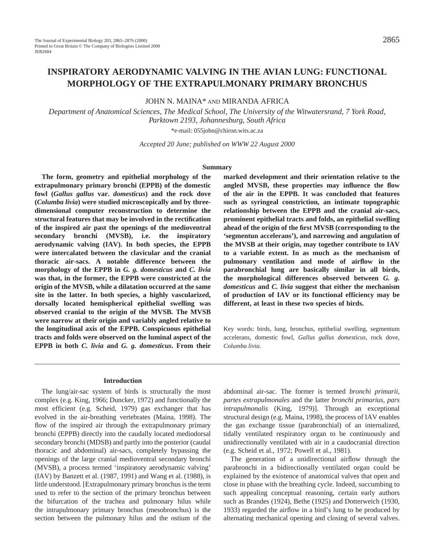# **INSPIRATORY AERODYNAMIC VALVING IN THE AVIAN LUNG: FUNCTIONAL MORPHOLOGY OF THE EXTRAPULMONARY PRIMARY BRONCHUS**

JOHN N. MAINA\* AND MIRANDA AFRICA

*Department of Anatomical Sciences, The Medical School, The University of the Witwatersrand, 7 York Road, Parktown 2193, Johannesburg, South Africa*

\*e-mail: 055john@chiron.wits.ac.za

*Accepted 20 June; published on WWW 22 August 2000*

#### **Summary**

**The form, geometry and epithelial morphology of the extrapulmonary primary bronchi (EPPB) of the domestic fowl (***Gallus gallus* **var.** *domesticus***) and the rock dove (***Columba livia***) were studied microscopically and by threedimensional computer reconstruction to determine the structural features that may be involved in the rectification of the inspired air past the openings of the medioventral secondary bronchi (MVSB), i.e. the inspiratory aerodynamic valving (IAV). In both species, the EPPB were intercalated between the clavicular and the cranial thoracic air-sacs. A notable difference between the morphology of the EPPB in** *G. g. domesticus* **and** *C. livia* **was that, in the former, the EPPB were constricted at the origin of the MVSB, while a dilatation occurred at the same site in the latter. In both species, a highly vascularized, dorsally located hemispherical epithelial swelling was observed cranial to the origin of the MVSB. The MVSB were narrow at their origin and variably angled relative to the longitudinal axis of the EPPB. Conspicuous epithelial tracts and folds were observed on the luminal aspect of the EPPB in both** *C. livia* **and** *G. g. domesticus***. From their**

**marked development and their orientation relative to the angled MVSB, these properties may influence the flow of the air in the EPPB. It was concluded that features such as syringeal constriction, an intimate topographic relationship between the EPPB and the cranial air-sacs, prominent epithelial tracts and folds, an epithelial swelling ahead of the origin of the first MVSB (corresponding to the 'segmentun accelerans'), and narrowing and angulation of the MVSB at their origin, may together contribute to IAV to a variable extent. In as much as the mechanism of pulmonary ventilation and mode of airflow in the parabronchial lung are basically similar in all birds, the morphological differences observed between** *G. g. domesticus* **and** *C. livia* **suggest that either the mechanism of production of IAV or its functional efficiency may be different, at least in these two species of birds.** 

Key words: birds, lung, bronchus, epithelial swelling, segmentum accelerans, domestic fowl, *Gallus gallus domesticus*, rock dove, *Columba livia*.

#### **Introduction**

The lung/air-sac system of birds is structurally the most complex (e.g. King, 1966; Duncker, 1972) and functionally the most efficient (e.g. Scheid, 1979) gas exchanger that has evolved in the air-breathing vertebrates (Maina, 1998). The flow of the inspired air through the extrapulmonary primary bronchi (EPPB) directly into the caudally located mediodorsal secondary bronchi (MDSB) and partly into the posterior (caudal thoracic and abdominal) air-sacs, completely bypassing the openings of the large cranial medioventral secondary bronchi (MVSB), a process termed 'inspiratory aerodynamic valving' (IAV) by Banzett et al. (1987, 1991) and Wang et al. (1988), is little understood. [Extrapulmonary primary bronchus is the term used to refer to the section of the primary bronchus between the bifurcation of the trachea and pulmonary hilus while the intrapulmonary primary bronchus (mesobronchus) is the section between the pulmonary hilus and the ostium of the

abdominal air-sac. The former is termed *bronchi primarii, partes extrapulmonales* and the latter *bronchi primarius, pars intrapulmonalis* (King, 1979)]. Through an exceptional structural design (e.g. Maina, 1998), the process of IAV enables the gas exchange tissue (parabronchial) of an internalized, tidally ventilated respiratory organ to be continuously and unidirectionally ventilated with air in a caudocranial direction (e.g. Scheid et al., 1972; Powell et al., 1981).

The generation of a unidirectional airflow through the parabronchi in a bidirectionally ventilated organ could be explained by the existence of anatomical valves that open and close in phase with the breathing cycle. Indeed, succumbing to such appealing conceptual reasoning, certain early authors such as Brandes (1924), Bethe (1925) and Dotterweich (1930, 1933) regarded the airflow in a bird's lung to be produced by alternating mechanical opening and closing of several valves.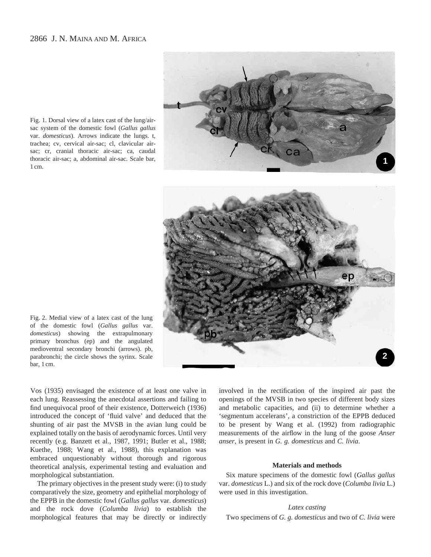

Fig. 1. Dorsal view of a latex cast of the lung/airsac system of the domestic fowl (*Gallus gallus* var. *domesticus*). Arrows indicate the lungs. t, trachea; cv, cervical air-sac; cl, clavicular airsac; cr, cranial thoracic air-sac; ca, caudal thoracic air-sac; a, abdominal air-sac. Scale bar, 1 cm.



Fig. 2. Medial view of a latex cast of the lung of the domestic fowl (*Gallus gallus* var. *domesticus*) showing the extrapulmonary primary bronchus (ep) and the angulated medioventral secondary bronchi (arrows). pb, parabronchi; the circle shows the syrinx. Scale bar, 1 cm.

Vos (1935) envisaged the existence of at least one valve in each lung. Reassessing the anecdotal assertions and failing to find unequivocal proof of their existence, Dotterweich (1936) introduced the concept of 'fluid valve' and deduced that the shunting of air past the MVSB in the avian lung could be explained totally on the basis of aerodynamic forces. Until very recently (e.g. Banzett et al., 1987, 1991; Butler et al., 1988; Kuethe, 1988; Wang et al., 1988), this explanation was embraced unquestionably without thorough and rigorous theoretical analysis, experimental testing and evaluation and morphological substantiation.

The primary objectives in the present study were: (i) to study comparatively the size, geometry and epithelial morphology of the EPPB in the domestic fowl (*Gallus gallus* var. *domesticus*) and the rock dove (*Columba livia*) to establish the morphological features that may be directly or indirectly involved in the rectification of the inspired air past the openings of the MVSB in two species of different body sizes and metabolic capacities, and (ii) to determine whether a 'segmentum accelerans', a constriction of the EPPB deduced to be present by Wang et al. (1992) from radiographic measurements of the airflow in the lung of the goose *Anser anser*, is present in *G. g. domesticus* and *C. livia*.

### **Materials and methods**

Six mature specimens of the domestic fowl (*Gallus gallus* var. *domesticus* L.) and six of the rock dove (*Columba livia* L.) were used in this investigation.

### *Latex casting*

Two specimens of *G. g. domesticus* and two of *C. livia* were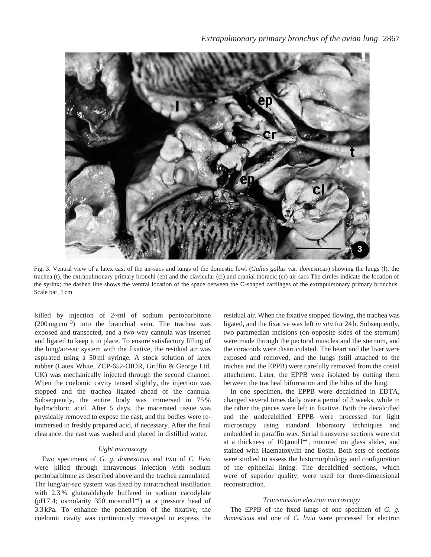

Fig. 3. Ventral view of a latex cast of the air-sacs and lungs of the domestic fowl (*Gallus gallus* var. *domesticus*) showing the lungs (l), the trachea (t), the extrapulmonary primary bronchi (ep) and the clavicular (cl) and cranial thoracic (cr) air-sacs The circles indicate the location of the syrinx; the dashed line shows the ventral location of the space between the C-shaped cartilages of the extrapulmonary primary bronchus. Scale bar, 1 cm.

killed by injection of 2~ml of sodium pentobarbitone (200 mg cm<sup>−</sup>3) into the branchial vein. The trachea was exposed and transected, and a two-way cannula was inserted and ligated to keep it in place. To ensure satisfactory filling of the lung/air-sac system with the fixative, the residual air was aspirated using a 50 ml syringe. A stock solution of latex rubber (Latex White, ZCP-652-OIOR, Griffin & George Ltd, UK) was mechanically injected through the second channel. When the coelomic cavity tensed slightly, the injection was stopped and the trachea ligated ahead of the cannula. Subsequently, the entire body was immersed in 75 % hydrochloric acid. After 5 days, the macerated tissue was physically removed to expose the cast, and the bodies were reimmersed in freshly prepared acid, if necessary. After the final clearance, the cast was washed and placed in distilled water.

### *Light microscopy*

Two specimens of *G. g. domesticus* and two of *C. livia* were killed through intravenous injection with sodium pentobarbitone as described above and the trachea cannulated. The lung/air-sac system was fixed by intratracheal instillation with 2.3 % glutaraldehyde buffered in sodium cacodylate (pH 7.4; osmolarity 350 mosmol l<sup>-1</sup>) at a pressure head of 3.3 kPa. To enhance the penetration of the fixative, the coelomic cavity was continuously massaged to express the

residual air. When the fixative stopped flowing, the trachea was ligated, and the fixative was left *in situ* for 24 h. Subsequently, two paramedian incisions (on opposite sides of the sternum) were made through the pectoral muscles and the sternum, and the coracoids were disarticulated. The heart and the liver were exposed and removed, and the lungs (still attached to the trachea and the EPPB) were carefully removed from the costal attachment. Later, the EPPB were isolated by cutting them between the tracheal bifurcation and the hilus of the lung.

In one specimen, the EPPB were decalcified in EDTA, changed several times daily over a period of 3 weeks, while in the other the pieces were left in fixative. Both the decalcified and the undecalcified EPPB were processed for light microscopy using standard laboratory techniques and embedded in paraffin wax. Serial transverse sections were cut at a thickness of  $10 \mu \text{mol}^{-1}$ , mounted on glass slides, and stained with Haematoxylin and Eosin. Both sets of sections were studied to assess the histomorphology and configuration of the epithelial lining. The decalcified sections, which were of superior quality, were used for three-dimensional reconstruction.

## *Transmission electron microscopy*

The EPPB of the fixed lungs of one specimen of *G. g. domesticus* and one of *C. livia* were processed for electron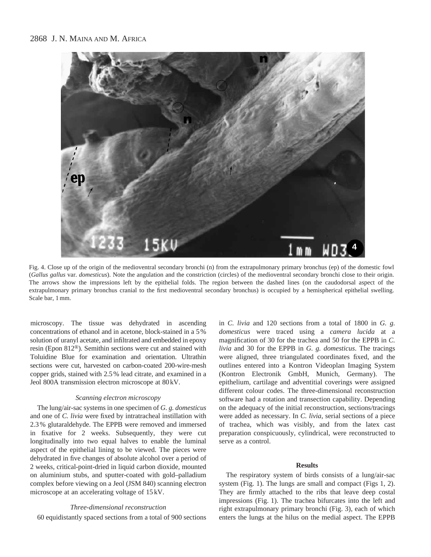

Fig. 4. Close up of the origin of the medioventral secondary bronchi (n) from the extrapulmonary primary bronchus (ep) of the domestic fowl (*Gallus gallus* var. *domesticus*). Note the angulation and the constriction (circles) of the medioventral secondary bronchi close to their origin. The arrows show the impressions left by the epithelial folds. The region between the dashed lines (on the caudodorsal aspect of the extrapulmonary primary bronchus cranial to the first medioventral secondary bronchus) is occupied by a hemispherical epithelial swelling. Scale bar, 1 mm.

microscopy. The tissue was dehydrated in ascending concentrations of ethanol and in acetone, block-stained in a 5 % solution of uranyl acetate, and infiltrated and embedded in epoxy resin (Epon 812®). Semithin sections were cut and stained with Toluidine Blue for examination and orientation. Ultrathin sections were cut, harvested on carbon-coated 200-wire-mesh copper grids, stained with 2.5 % lead citrate, and examined in a Jeol 800A transmission electron microscope at 80 kV.

# *Scanning electron microscopy*

The lung/air-sac systems in one specimen of *G. g. domesticus* and one of *C. livia* were fixed by intratracheal instillation with 2.3 % glutaraldehyde. The EPPB were removed and immersed in fixative for 2 weeks. Subsequently, they were cut longitudinally into two equal halves to enable the luminal aspect of the epithelial lining to be viewed. The pieces were dehydrated in five changes of absolute alcohol over a period of 2 weeks, critical-point-dried in liquid carbon dioxide, mounted on aluminium stubs, and sputter-coated with gold–palladium complex before viewing on a Jeol (JSM 840) scanning electron microscope at an accelerating voltage of 15 kV.

## *Three-dimensional reconstruction*

60 equidistantly spaced sections from a total of 900 sections

in *C. livia* and 120 sections from a total of 1800 in *G. g. domesticus* were traced using a *camera lucida* at a magnification of 30 for the trachea and 50 for the EPPB in *C. livia* and 30 for the EPPB in *G. g. domesticus*. The tracings were aligned, three triangulated coordinates fixed, and the outlines entered into a Kontron Videoplan Imaging System (Kontron Electronik GmbH, Munich, Germany). The epithelium, cartilage and adventitial coverings were assigned different colour codes. The three-dimensional reconstruction software had a rotation and transection capability. Depending on the adequacy of the initial reconstruction, sections/tracings were added as necessary. In *C. livia*, serial sections of a piece of trachea, which was visibly, and from the latex cast preparation conspicuously, cylindrical, were reconstructed to serve as a control.

### **Results**

The respiratory system of birds consists of a lung/air-sac system (Fig. 1). The lungs are small and compact (Figs 1, 2). They are firmly attached to the ribs that leave deep costal impressions (Fig. 1). The trachea bifurcates into the left and right extrapulmonary primary bronchi (Fig. 3), each of which enters the lungs at the hilus on the medial aspect. The EPPB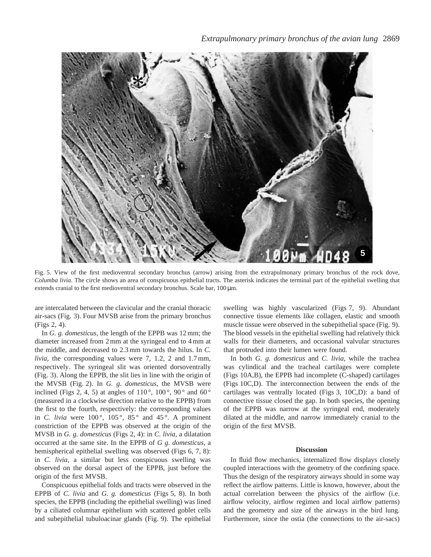

Fig. 5. View of the first medioventral secondary bronchus (arrow) arising from the extrapulmonary primary bronchus of the rock dove, *Columba livia*. The circle shows an area of conspicuous epithelial tracts. The asterisk indicates the terminal part of the epithelial swelling that extends cranial to the first medioventral secondary bronchus. Scale bar,  $100 \mu m$ .

are intercalated between the clavicular and the cranial thoracic air-sacs (Fig. 3). Four MVSB arise from the primary bronchus (Figs 2, 4).

In *G. g. domesticus*, the length of the EPPB was 12 mm; the diameter increased from 2 mm at the syringeal end to 4 mm at the middle, and decreased to 2.3 mm towards the hilus. In *C. livia*, the corresponding values were 7, 1.2, 2 and 1.7 mm, respectively. The syringeal slit was oriented dorsoventrally (Fig. 3). Along the EPPB, the slit lies in line with the origin of the MVSB (Fig. 2). In *G. g. domesticus*, the MVSB were inclined (Figs 2, 4, 5) at angles of 110 $^{\circ}$ , 100 $^{\circ}$ , 90 $^{\circ}$  and 60 $^{\circ}$ (measured in a clockwise direction relative to the EPPB) from the first to the fourth, respectively: the corresponding values in *C. livia* were  $100^{\circ}$ ,  $105^{\circ}$ ,  $85^{\circ}$  and  $45^{\circ}$ . A prominent constriction of the EPPB was observed at the origin of the MVSB in *G. g. domesticus* (Figs 2, 4): in *C. livia*, a dilatation occurred at the same site. In the EPPB of *G g. domesticus*, a hemispherical epithelial swelling was observed (Figs 6, 7, 8): in *C. livia*, a similar but less conspicuous swelling was observed on the dorsal aspect of the EPPB, just before the origin of the first MVSB.

Conspicuous epithelial folds and tracts were observed in the EPPB of *C. livia* and *G. g. domesticus* (Figs 5, 8). In both species, the EPPB (including the epithelial swelling) was lined by a ciliated columnar epithelium with scattered goblet cells and subepithelial tubuloacinar glands (Fig. 9). The epithelial swelling was highly vascularized (Figs 7, 9). Abundant connective tissue elements like collagen, elastic and smooth muscle tissue were observed in the subepithelial space (Fig. 9). The blood vessels in the epithelial swelling had relatively thick walls for their diameters, and occasional valvular structures that protruded into their lumen were found.

In both *G. g. domesticus* and *C. livia*, while the trachea was cylindical and the tracheal cartilages were complete (Figs 10A,B), the EPPB had incomplete (C-shaped) cartilages (Figs 10C,D). The interconnection between the ends of the cartilages was ventrally located (Figs 3, 10C,D): a band of connective tissue closed the gap. In both species, the opening of the EPPB was narrow at the syringeal end, moderately dilated at the middle, and narrow immediately cranial to the origin of the first MVSB.

### **Discussion**

In fluid flow mechanics, internalized flow displays closely coupled interactions with the geometry of the confining space. Thus the design of the respiratory airways should in some way reflect the airflow patterns. Little is known, however, about the actual correlation between the physics of the airflow (i.e. airflow velocity, airflow regimen and local airflow patterns) and the geometry and size of the airways in the bird lung. Furthermore, since the ostia (the connections to the air-sacs)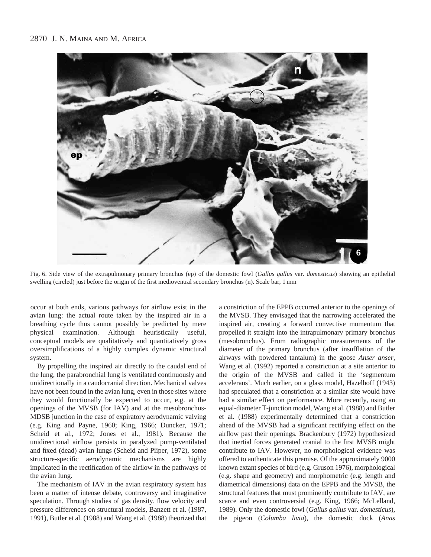

Fig. 6. Side view of the extrapulmonary primary bronchus (ep) of the domestic fowl (*Gallus gallus* var. *domesticus*) showing an epithelial swelling (circled) just before the origin of the first medioventral secondary bronchus (n). Scale bar, 1 mm

occur at both ends, various pathways for airflow exist in the avian lung: the actual route taken by the inspired air in a breathing cycle thus cannot possibly be predicted by mere physical examination. Although heuristically useful, conceptual models are qualitatively and quantitatively gross oversimplifications of a highly complex dynamic structural system.

By propelling the inspired air directly to the caudal end of the lung, the parabronchial lung is ventilated continuously and unidirectionally in a caudocranial direction. Mechanical valves have not been found in the avian lung, even in those sites where they would functionally be expected to occur, e.g. at the openings of the MVSB (for IAV) and at the mesobronchus-MDSB junction in the case of expiratory aerodynamic valving (e.g. King and Payne, 1960; King, 1966; Duncker, 1971; Scheid et al., 1972; Jones et al., 1981). Because the unidirectional airflow persists in paralyzed pump-ventilated and fixed (dead) avian lungs (Scheid and Piiper, 1972), some structure-specific aerodynamic mechanisms are highly implicated in the rectification of the airflow in the pathways of the avian lung.

The mechanism of IAV in the avian respiratory system has been a matter of intense debate, controversy and imaginative speculation. Through studies of gas density, flow velocity and pressure differences on structural models, Banzett et al. (1987, 1991), Butler et al. (1988) and Wang et al. (1988) theorized that

a constriction of the EPPB occurred anterior to the openings of the MVSB. They envisaged that the narrowing accelerated the inspired air, creating a forward convective momentum that propelled it straight into the intrapulmonary primary bronchus (mesobronchus). From radiographic measurements of the diameter of the primary bronchus (after insufflation of the airways with powdered tantalum) in the goose *Anser anser*, Wang et al. (1992) reported a constriction at a site anterior to the origin of the MVSB and called it the 'segmentum accelerans'. Much earlier, on a glass model, Hazelhoff (1943) had speculated that a constriction at a similar site would have had a similar effect on performance. More recently, using an equal-diameter T-junction model, Wang et al. (1988) and Butler et al. (1988) experimentally determined that a constriction ahead of the MVSB had a significant rectifying effect on the airflow past their openings. Brackenbury (1972) hypothesized that inertial forces generated cranial to the first MVSB might contribute to IAV. However, no morphological evidence was offered to authenticate this premise. Of the approximately 9000 known extant species of bird (e.g. Gruson 1976), morphological (e.g. shape and geometry) and morphometric (e.g. length and diametrical dimensions) data on the EPPB and the MVSB, the structural features that must prominently contribute to IAV, are scarce and even controversial (e.g. King, 1966; McLelland, 1989). Only the domestic fowl (*Gallus gallus* var. *domesticus*), the pigeon (*Columba livia*), the domestic duck (*Anas*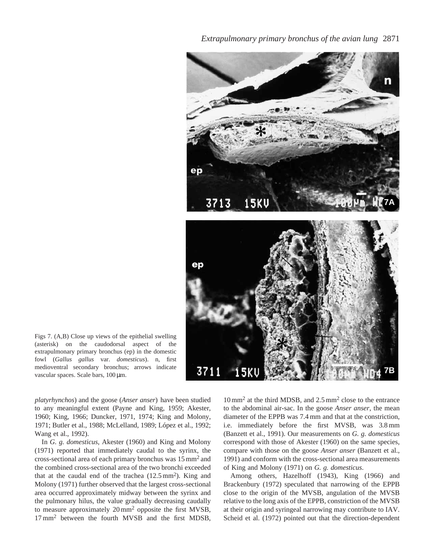*Extrapulmonary primary bronchus of the avian lung* 2871



Figs 7. (A,B) Close up views of the epithelial swelling (asterisk) on the caudodorsal aspect of the extrapulmonary primary bronchus (ep) in the domestic fowl (*Gallus gallus* var. *domesticus*). n, first medioventral secondary bronchus; arrows indicate vascular spaces. Scale bars, 100 µm.

*platyrhynchos*) and the goose (*Anser anser*) have been studied to any meaningful extent (Payne and King, 1959; Akester, 1960; King, 1966; Duncker, 1971, 1974; King and Molony, 1971; Butler et al., 1988; McLelland, 1989; López et al., 1992; Wang et al., 1992).

In *G. g. domesticus*, Akester (1960) and King and Molony (1971) reported that immediately caudal to the syrinx, the cross-sectional area of each primary bronchus was 15 mm2 and the combined cross-sectional area of the two bronchi exceeded that at the caudal end of the trachea  $(12.5 \text{ mm}^2)$ . King and Molony (1971) further observed that the largest cross-sectional area occurred approximately midway between the syrinx and the pulmonary hilus, the value gradually decreasing caudally to measure approximately 20 mm2 opposite the first MVSB, 17 mm<sup>2</sup> between the fourth MVSB and the first MDSB,

10 mm<sup>2</sup> at the third MDSB, and 2.5 mm<sup>2</sup> close to the entrance to the abdominal air-sac. In the goose *Anser anser*, the mean diameter of the EPPB was 7.4 mm and that at the constriction, i.e. immediately before the first MVSB, was 3.8 mm (Banzett et al., 1991). Our measurements on *G. g. domesticus* correspond with those of Akester (1960) on the same species, compare with those on the goose *Anser anser* (Banzett et al., 1991) and conform with the cross-sectional area measurements of King and Molony (1971) on *G. g. domesticus*.

Among others, Hazelhoff (1943), King (1966) and Brackenbury (1972) speculated that narrowing of the EPPB close to the origin of the MVSB, angulation of the MVSB relative to the long axis of the EPPB, constriction of the MVSB at their origin and syringeal narrowing may contribute to IAV. Scheid et al. (1972) pointed out that the direction-dependent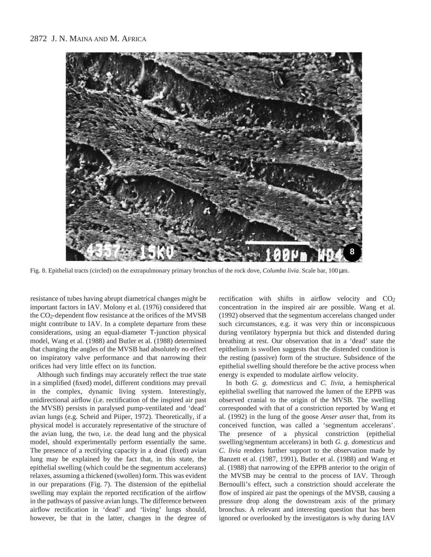

Fig. 8. Epithelial tracts (circled) on the extrapulmonary primary bronchus of the rock dove, *Columba livia*. Scale bar, 100 µm.

resistance of tubes having abrupt diametrical changes might be important factors in IAV. Molony et al. (1976) considered that the CO2-dependent flow resistance at the orifices of the MVSB might contribute to IAV. In a complete departure from these considerations, using an equal-diameter T-junction physical model, Wang et al. (1988) and Butler et al. (1988) determined that changing the angles of the MVSB had absolutely no effect on inspiratory valve performance and that narrowing their orifices had very little effect on its function.

Although such findings may accurately reflect the true state in a simplified (fixed) model, different conditions may prevail in the complex, dynamic living system. Interestingly, unidirectional airflow (i.e. rectification of the inspired air past the MVSB) persists in paralysed pump-ventilated and 'dead' avian lungs (e.g. Scheid and Piiper, 1972). Theoretically, if a physical model is accurately representative of the structure of the avian lung, the two, i.e. the dead lung and the physical model, should experimentally perform essentially the same. The presence of a rectifying capacity in a dead (fixed) avian lung may be explained by the fact that, in this state, the epithelial swelling (which could be the segmentum accelerans) relaxes, assuming a thickened (swollen) form. This was evident in our preparations (Fig. 7). The distension of the epithelial swelling may explain the reported rectification of the airflow in the pathways of passive avian lungs. The difference between airflow rectification in 'dead' and 'living' lungs should, however, be that in the latter, changes in the degree of rectification with shifts in airflow velocity and  $CO<sub>2</sub>$ concentration in the inspired air are possible. Wang et al. (1992) observed that the segmentum accerelans changed under such circumstances, e.g. it was very thin or inconspicuous during ventilatory hyperpnia but thick and distended during breathing at rest. Our observation that in a 'dead' state the epithelium is swollen suggests that the distended condition is the resting (passive) form of the structure. Subsidence of the epithelial swelling should therefore be the active process when energy is expended to modulate airflow velocity.

In both *G. g. domesticus* and *C. livia*, a hemispherical epithelial swelling that narrowed the lumen of the EPPB was observed cranial to the origin of the MVSB. The swelling corresponded with that of a constriction reported by Wang et al. (1992) in the lung of the goose *Anser anser* that, from its conceived function, was called a 'segmentum accelerans'. The presence of a physical constriction (epithelial swelling/segmentum accelerans) in both *G. g. domesticus* and *C. livia* renders further support to the observation made by Banzett et al. (1987, 1991), Butler et al. (1988) and Wang et al. (1988) that narrowing of the EPPB anterior to the origin of the MVSB may be central to the process of IAV. Through Bernoulli's effect, such a constriction should accelerate the flow of inspired air past the openings of the MVSB, causing a pressure drop along the downstream axis of the primary bronchus. A relevant and interesting question that has been ignored or overlooked by the investigators is why during IAV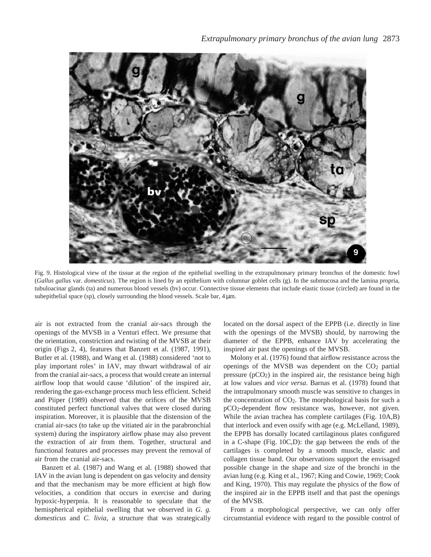

Fig. 9. Histological view of the tissue at the region of the epithelial swelling in the extrapulmonary primary bronchus of the domestic fowl (*Gallus gallus* var. *domesticus*). The region is lined by an epithelium with columnar goblet cells (g). In the submucosa and the lamina propria, tubuloacinar glands (ta) and numerous blood vessels (bv) occur. Connective tissue elements that include elastic tissue (circled) are found in the subepithelial space (sp), closely surrounding the blood vessels. Scale bar,  $4 \mu m$ .

air is not extracted from the cranial air-sacs through the openings of the MVSB in a Venturi effect. We presume that the orientation, constriction and twisting of the MVSB at their origin (Figs 2, 4), features that Banzett et al. (1987, 1991), Butler et al. (1988), and Wang et al. (1988) considered 'not to play important roles' in IAV, may thwart withdrawal of air from the cranial air-sacs, a process that would create an internal airflow loop that would cause 'dilution' of the inspired air, rendering the gas-exchange process much less efficient. Scheid and Piiper (1989) observed that the orifices of the MVSB constituted perfect functional valves that were closed during inspiration. Moreover, it is plausible that the distension of the cranial air-sacs (to take up the vitiated air in the parabronchial system) during the inspiratory airflow phase may also prevent the extraction of air from them. Together, structural and functional features and processes may prevent the removal of air from the cranial air-sacs.

Banzett et al. (1987) and Wang et al. (1988) showed that IAV in the avian lung is dependent on gas velocity and density and that the mechanism may be more efficient at high flow velocities, a condition that occurs in exercise and during hypoxic-hyperpnia. It is reasonable to speculate that the hemispherical epithelial swelling that we observed in *G. g. domesticus* and *C. livia*, a structure that was strategically located on the dorsal aspect of the EPPB (i.e. directly in line with the openings of the MVSB) should, by narrowing the diameter of the EPPB, enhance IAV by accelerating the inspired air past the openings of the MVSB.

Molony et al. (1976) found that airflow resistance across the openings of the MVSB was dependent on the  $CO<sub>2</sub>$  partial pressure  $(pCO<sub>2</sub>)$  in the inspired air, the resistance being high at low values and *vice versa*. Barnas et al. (1978) found that the intrapulmonary smooth muscle was sensitive to changes in the concentration of  $CO<sub>2</sub>$ . The morphological basis for such a pCO2-dependent flow resistance was, however, not given. While the avian trachea has complete cartilages (Fig. 10A,B) that interlock and even ossify with age (e.g. McLelland, 1989), the EPPB has dorsally located cartilaginous plates configured in a C-shape (Fig. 10C,D): the gap between the ends of the cartilages is completed by a smooth muscle, elastic and collagen tissue band. Our observations support the envisaged possible change in the shape and size of the bronchi in the avian lung (e.g. King et al., 1967; King and Cowie, 1969; Cook and King, 1970). This may regulate the physics of the flow of the inspired air in the EPPB itself and that past the openings of the MVSB.

From a morphological perspective, we can only offer circumstantial evidence with regard to the possible control of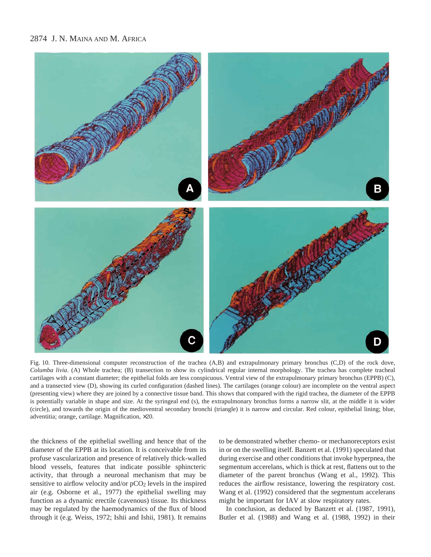# 2874 J. N. MAINA AND M. AFRICA



Fig. 10. Three-dimensional computer reconstruction of the trachea (A,B) and extrapulmonary primary bronchus (C,D) of the rock dove, *Columba livia*. (A) Whole trachea; (B) transection to show its cylindrical regular internal morphology. The trachea has complete tracheal cartilages with a constant diameter; the epithelial folds are less conspicuous. Ventral view of the extrapulmonary primary bronchus (EPPB) (C), and a transected view (D), showing its curled configuration (dashed lines). The cartilages (orange colour) are incomplete on the ventral aspect (presenting view) where they are joined by a connective tissue band. This shows that compared with the rigid trachea, the diameter of the EPPB is potentially variable in shape and size. At the syringeal end (s), the extrapulmonary bronchus forms a narrow slit, at the middle it is wider (circle), and towards the origin of the medioventral secondary bronchi (triangle) it is narrow and circular. Red colour, epithelial lining; blue, adventitia; orange, cartilage. Magnification, ×20.

the thickness of the epithelial swelling and hence that of the diameter of the EPPB at its location. It is conceivable from its profuse vascularization and presence of relatively thick-walled blood vessels, features that indicate possible sphincteric activity, that through a neuronal mechanism that may be sensitive to airflow velocity and/or pCO<sub>2</sub> levels in the inspired air (e.g. Osborne et al., 1977) the epithelial swelling may function as a dynamic erectile (cavenous) tissue. Its thickness may be regulated by the haemodynamics of the flux of blood through it (e.g. Weiss, 1972; Ishii and Ishii, 1981). It remains to be demonstrated whether chemo- or mechanoreceptors exist in or on the swelling itself. Banzett et al. (1991) speculated that during exercise and other conditions that invoke hyperpnea, the segmentum accerelans, which is thick at rest, flattens out to the diameter of the parent bronchus (Wang et al., 1992). This reduces the airflow resistance, lowering the respiratory cost. Wang et al. (1992) considered that the segmentum accelerans might be important for IAV at slow respiratory rates.

In conclusion, as deduced by Banzett et al. (1987, 1991), Butler et al. (1988) and Wang et al. (1988, 1992) in their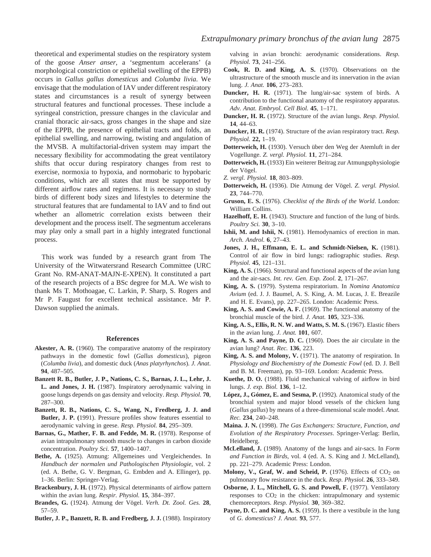theoretical and experimental studies on the respiratory system of the goose *Anser anser*, a 'segmentum accelerans' (a morphological constriction or epithelial swelling of the EPPB) occurs in *Gallus gallus domesticus* and *Columba livia*. We envisage that the modulation of IAV under different respiratory states and circumstances is a result of synergy between structural features and functional processes. These include a syringeal constriction, pressure changes in the clavicular and cranial thoracic air-sacs, gross changes in the shape and size of the EPPB, the presence of epithelial tracts and folds, an epithelial swelling, and narrowing, twisting and angulation of the MVSB. A multifactorial-driven system may impart the necessary flexibility for accommodating the great ventilatory shifts that occur during respiratory changes from rest to exercise, normoxia to hypoxia, and normobaric to hypobaric conditions, which are all states that must be supported by different airflow rates and regimens. It is necessary to study birds of different body sizes and lifestyles to determine the structural features that are fundamental to IAV and to find out whether an allometric correlation exists between their development and the process itself. The segmentum accelerans may play only a small part in a highly integrated functional process.

This work was funded by a research grant from The University of the Witwatersrand Research Committee (URC Grant No. RM-ANAT-MAJN-E-XPEN). It constituted a part of the research projects of a BSc degree for M.A. We wish to thank Ms T. Mothoagae, C. Larkin, P. Sharp, S. Rogers and Mr P. Faugust for excellent technical assistance. Mr P. Dawson supplied the animals.

#### **References**

- **Akester, A. R.** (1960). The comparative anatomy of the respiratory pathways in the domestic fowl (*Gallus domesticus*), pigeon (*Columba livia*), and domestic duck (*Anas platyrhynchos*). *J. Anat*. **94**, 487–505.
- **Banzett R. B., Butler, J. P., Nations, C. S., Barnas, J. L., Lehr, J. L. and Jones, J. H.** (1987). Inspiratory aerodynamic valving in goose lungs depends on gas density and velocity. *Resp. Physiol.* **70**, 287–300.
- **Banzett, R. B., Nations, C. S., Wang, N., Fredberg, J. J. and Butler, J. P. (**1991). Pressure profiles show features essential to aerodynamic valving in geese. *Resp. Physiol.* **84**, 295–309.
- Barnas, G., Mather, F. B. and Fedde, M. R. (1978). Response of avian intrapulmonary smooth muscle to changes in carbon dioxide concentration. *Poultry Sci.* **57**, 1400–1407.
- **Bethe, A.** (1925). Atmung: Allgemeines und Vergleichendes. In *Handbuch der normalen und Pathologischen Physiologie,* vol. 2 (ed. A. Bethe, G. V. Bergman, G. Embden and A. Ellinger), pp. 1–36. Berlin: Springer-Verlag.
- **Brackenbury, J. H.** (1972). Physical determinants of airflow pattern within the avian lung. *Respir. Physiol.* **15**, 384–397.
- **Brandes, G.** (1924). Atmung der Vögel. *Verh. Dt. Zool. Ges.* **28**, 57–59.
- **Butler, J. P., Banzett, R. B. and Fredberg, J. J.** (1988). Inspiratory

valving in avian bronchi: aerodynamic considerations. *Resp. Physiol.* **73**, 241–256.

- **Cook, R. D. and King, A. S.** (1970). Observations on the ultrastructure of the smooth muscle and its innervation in the avian lung. *J. Anat.* **106**, 273–283.
- **Duncker, H. R.** (1971). The lung/air-sac system of birds. A contribution to the functional anatomy of the respiratory apparatus. *Adv. Anat. Embryol. Cell Biol.* **45**, 1–171.
- **Duncker, H. R.** (1972). Structure of the avian lungs. *Resp. Physiol.* **14**, 44–63.
- **Duncker, H. R.** (1974). Structure of the avian respiratory tract. *Resp. Physiol.* **22,** 1–19.
- **Dotterweich, H.** (1930). Versuch über den Weg der Atemluft in der Vogellunge. *Z. vergl. Physiol.* **11**, 271–284.
- **Dotterweich, H.** (1933) Ein weiterer Beitrag zur Atmungsphysiologie der Vögel.
- *Z. vergl. Physiol.* **18**, 803–809.
- **Dotterweich, H.** (1936). Die Atmung der Vögel. *Z. vergl. Physiol.* **23**, 744–770.
- **Gruson, E. S.** (1976). *Checklist of the Birds of the World*. London: William Collins.
- **Hazelhoff, E. H.** (1943). Structure and function of the lung of birds. *Poultry Sci.* **30**, 3–10.
- **Ishii, M. and Ishii, N.** (1981). Hemodynamics of erection in man. *Arch. Androl.* **6**, 27–43.
- **Jones, J. H., Effmann, E. L. and Schmidt-Nielsen, K.** (1981). Control of air flow in bird lungs: radiographic studies. *Resp. Physiol.* **45**, 121–131.
- **King, A. S.** (1966). Structural and functional aspects of the avian lung and the air-sacs. *Int. rev. Gen. Exp. Zool.* **2**, 171–267.
- **King, A. S.** (1979). Systema respiratorium. In *Nomina Anatomica Avium* (ed. J. J. Baumel, A. S. King, A. M. Lucas, J. E. Breazile and H. E. Evans), pp. 227–265. London: Academic Press.
- **King, A. S. and Cowie, A. F.** (1969). The functional anatomy of the bronchial muscle of the bird. *J. Anat.* **105**, 323–336.
- **King, A. S., Ellis, R. N. W. and Watts, S. M. S.** (1967). Elastic fibers in the avian lung. *J. Anat.* **101**, 607.
- **King, A. S. and Payne, D. C.** (1960). Does the air circulate in the avian lung? *Anat. Rec.* **136**, 223.
- **King, A. S. and Molony, V.** (1971). The anatomy of respiration. In *Physiology and Biochemistry of the Domestic Fowl* (ed. D. J. Bell and B. M. Freeman), pp. 93–169. London: Academic Press.
- **Kuethe, D. O.** (1988). Fluid mechanical valving of airflow in bird lungs. *J. exp. Biol.* **136**, 1–12.
- **López, J., Gómez, E. and Sesma, P.** (1992). Anatomical study of the bronchial system and major blood vessels of the chicken lung (*Gallus gallus*) by means of a three-dimensional scale model. *Anat. Rec.* **234**, 240–248.
- **Maina. J. N.** (1998). *The Gas Exchangers: Structure, Function, and Evolution of the Respiratory Processes*. Springer-Verlag: Berlin, Heidelberg.
- **McLelland, J.** (1989). Anatomy of the lungs and air-sacs. In *Form and Function in Birds,* vol. 4 (ed. A. S. King and J. McLelland), pp. 221–279. Academic Press: London.
- Molony, V., Graf, W. and Scheid, P. (1976). Effects of CO<sub>2</sub> on pulmonary flow resistance in the duck. *Resp. Physiol.* **26**, 333–349.
- **Osborne, J. L., Mitchell, G. S. and Powell, F.** (1977). Ventilatory responses to  $CO<sub>2</sub>$  in the chicken: intrapulmonary and systemic chemoreceptors. *Resp. Physiol.* **30**, 369–382.
- **Payne, D. C. and King, A. S.** (1959). Is there a vestibule in the lung of *G. domesticus*? *J. Anat.* **93**, 577.